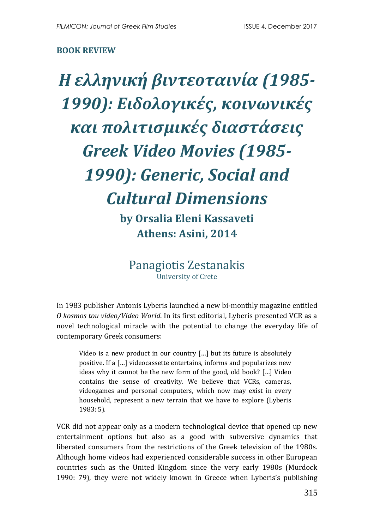## **BOOK REVIEW**

*Η ελληνική βιντεοταινία (1985- 1990): Ειδολογικές, κοινωνικές και πολιτισμικές διαστάσεις Greek Video Movies (1985- 1990): Generic, Social and Cultural Dimensions* **by Orsalia Eleni Kassaveti**

**Athens: Asini, 2014**

Panagiotis Zestanakis University of Crete

In 1983 publisher Antonis Lyberis launched a new bi-monthly magazine entitled *O kosmos tou video/Video World*. In its first editorial, Lyberis presented VCR as a novel technological miracle with the potential to change the everyday life of contemporary Greek consumers:

Video is a new product in our country […] but its future is absolutely positive. If a […] videocassette entertains, informs and popularizes new ideas why it cannot be the new form of the good, old book? […] Video contains the sense of creativity. We believe that VCRs, cameras, videogames and personal computers, which now may exist in every household, represent a new terrain that we have to explore (Lyberis 1983: 5).

VCR did not appear only as a modern technological device that opened up new entertainment options but also as a good with subversive dynamics that liberated consumers from the restrictions of the Greek television of the 1980s. Although home videos had experienced considerable success in other European countries such as the United Kingdom since the very early 1980s (Murdock 1990: 79), they were not widely known in Greece when Lyberis's publishing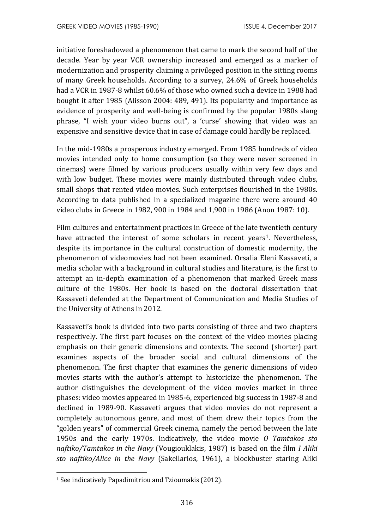initiative foreshadowed a phenomenon that came to mark the second half of the decade. Year by year VCR ownership increased and emerged as a marker of modernization and prosperity claiming a privileged position in the sitting rooms of many Greek households. According to a survey, 24.6% of Greek households had a VCR in 1987-8 whilst 60.6% of those who owned such a device in 1988 had bought it after 1985 (Alisson 2004: 489, 491). Its popularity and importance as evidence of prosperity and well-being is confirmed by the popular 1980s slang phrase, "Ι wish your video burns out", a 'curse' showing that video was an expensive and sensitive device that in case of damage could hardly be replaced.

In the mid-1980s a prosperous industry emerged. From 1985 hundreds of video movies intended only to home consumption (so they were never screened in cinemas) were filmed by various producers usually within very few days and with low budget. These movies were mainly distributed through video clubs, small shops that rented video movies. Such enterprises flourished in the 1980s. According to data published in a specialized magazine there were around 40 video clubs in Greece in 1982, 900 in 1984 and 1,900 in 1986 (Anon 1987: 10).

Film cultures and entertainment practices in Greece of the late twentieth century have attracted the interest of some scholars in recent years<sup>1</sup>. Nevertheless, despite its importance in the cultural construction of domestic modernity, the phenomenon of videomovies had not been examined. Orsalia Eleni Kassaveti, a media scholar with a background in cultural studies and literature, is the first to attempt an in-depth examination of a phenomenon that marked Greek mass culture of the 1980s. Her book is based on the doctoral dissertation that Kassaveti defended at the Department of Communication and Media Studies of the University of Athens in 2012.

Kassaveti's book is divided into two parts consisting of three and two chapters respectively. The first part focuses on the context of the video movies placing emphasis on their generic dimensions and contexts. The second (shorter) part examines aspects of the broader social and cultural dimensions of the phenomenon. The first chapter that examines the generic dimensions of video movies starts with the author's attempt to historicize the phenomenon. The author distinguishes the development of the video movies market in three phases: video movies appeared in 1985-6, experienced big success in 1987-8 and declined in 1989-90. Kassaveti argues that video movies do not represent a completely autonomous genre, and most of them drew their topics from the "golden years" of commercial Greek cinema, namely the period between the late 1950s and the early 1970s. Indicatively, the video movie *O Tamtakos sto naftiko/Tamtakos in the Navy* (Vougiouklakis, 1987) is based on the film *I Aliki sto naftiko/Alice in the Navy* (Sakellarios, 1961), a blockbuster staring Aliki

 $\overline{\phantom{a}}$ 

<sup>&</sup>lt;sup>1</sup> See indicatively Papadimitriou and Tzioumakis (2012).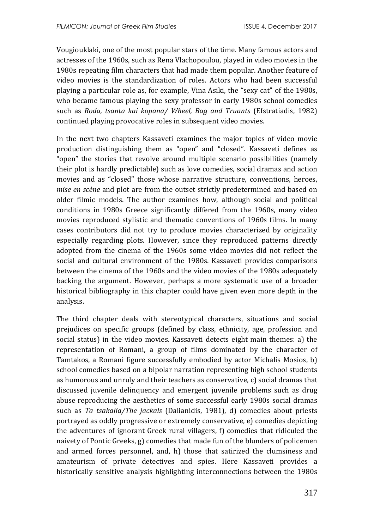Vougiouklaki, one of the most popular stars of the time. Many famous actors and actresses of the 1960s, such as Rena Vlachopoulou, played in video movies in the 1980s repeating film characters that had made them popular. Another feature of video movies is the standardization of roles. Actors who had been successful playing a particular role as, for example, Vina Asiki, the "sexy cat" of the 1980s, who became famous playing the sexy professor in early 1980s school comedies such as *Roda, tsanta kai kopana/ Wheel, Bag and Truants* (Efstratiadis, 1982) continued playing provocative roles in subsequent video movies.

In the next two chapters Kassaveti examines the major topics of video movie production distinguishing them as "open" and "closed". Kassaveti defines as "open" the stories that revolve around multiple scenario possibilities (namely their plot is hardly predictable) such as love comedies, social dramas and action movies and as "closed" those whose narrative structure, conventions, heroes, *mise en scène* and plot are from the outset strictly predetermined and based on older filmic models. The author examines how, although social and political conditions in 1980s Greece significantly differed from the 1960s, many video movies reproduced stylistic and thematic conventions of 1960s films. In many cases contributors did not try to produce movies characterized by originality especially regarding plots. However, since they reproduced patterns directly adopted from the cinema of the 1960s some video movies did not reflect the social and cultural environment of the 1980s. Kassaveti provides comparisons between the cinema of the 1960s and the video movies of the 1980s adequately backing the argument. However, perhaps a more systematic use of a broader historical bibliography in this chapter could have given even more depth in the analysis.

The third chapter deals with stereotypical characters, situations and social prejudices on specific groups (defined by class, ethnicity, age, profession and social status) in the video movies. Kassaveti detects eight main themes: a) the representation of Romani, a group of films dominated by the character of Tamtakos, a Romani figure successfully embodied by actor Michalis Mosios, b) school comedies based on a bipolar narration representing high school students as humorous and unruly and their teachers as conservative, c) social dramas that discussed juvenile delinquency and emergent juvenile problems such as drug abuse reproducing the aesthetics of some successful early 1980s social dramas such as *Ta tsakalia/Τhe jackals* (Dalianidis, 1981), d) comedies about priests portrayed as oddly progressive or extremely conservative, e) comedies depicting the adventures of ignorant Greek rural villagers, f) comedies that ridiculed the naivety of Pontic Greeks, g) comedies that made fun of the blunders of policemen and armed forces personnel, and, h) those that satirized the clumsiness and amateurism of private detectives and spies. Here Kassaveti provides a historically sensitive analysis highlighting interconnections between the 1980s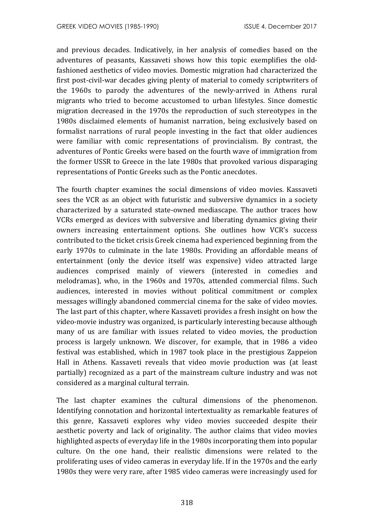and previous decades. Indicatively, in her analysis of comedies based on the adventures of peasants, Kassaveti shows how this topic exemplifies the oldfashioned aesthetics of video movies. Domestic migration had characterized the first post-civil-war decades giving plenty of material to comedy scriptwriters of the 1960s to parody the adventures of the newly-arrived in Athens rural migrants who tried to become accustomed to urban lifestyles. Since domestic migration decreased in the 1970s the reproduction of such stereotypes in the 1980s disclaimed elements of humanist narration, being exclusively based on formalist narrations of rural people investing in the fact that older audiences were familiar with comic representations of provincialism. By contrast, the adventures of Pontic Greeks were based on the fourth wave of immigration from the former USSR to Greece in the late 1980s that provoked various disparaging representations of Pontic Greeks such as the Pontic anecdotes.

The fourth chapter examines the social dimensions of video movies. Kassaveti sees the VCR as an object with futuristic and subversive dynamics in a society characterized by a saturated state-owned mediascape. The author traces how VCRs emerged as devices with subversive and liberating dynamics giving their owners increasing entertainment options. She outlines how VCR's success contributed to the ticket crisis Greek cinema had experienced beginning from the early 1970s to culminate in the late 1980s. Providing an affordable means of entertainment (only the device itself was expensive) video attracted large audiences comprised mainly of viewers (interested in comedies and melodramas), who, in the 1960s and 1970s, attended commercial films. Such audiences, interested in movies without political commitment or complex messages willingly abandoned commercial cinema for the sake of video movies. The last part of this chapter, where Kassaveti provides a fresh insight on how the video-movie industry was organized, is particularly interesting because although many of us are familiar with issues related to video movies, the production process is largely unknown. We discover, for example, that in 1986 a video festival was established, which in 1987 took place in the prestigious Zappeion Hall in Athens. Kassaveti reveals that video movie production was (at least partially) recognized as a part of the mainstream culture industry and was not considered as a marginal cultural terrain.

The last chapter examines the cultural dimensions of the phenomenon. Identifying connotation and horizontal intertextuality as remarkable features of this genre, Kassaveti explores why video movies succeeded despite their aesthetic poverty and lack of originality. The author claims that video movies highlighted aspects of everyday life in the 1980s incorporating them into popular culture. On the one hand, their realistic dimensions were related to the proliferating uses of video cameras in everyday life. If in the 1970s and the early 1980s they were very rare, after 1985 video cameras were increasingly used for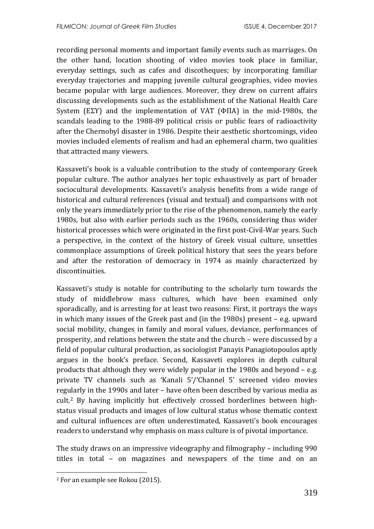recording personal moments and important family events such as marriages. On the other hand, location shooting of video movies took place in familiar, everyday settings, such as cafes and discotheques; by incorporating familiar everyday trajectories and mapping juvenile cultural geographies, video movies became popular with large audiences. Moreover, they drew on current affairs discussing developments such as the establishment of the National Health Care System (ΕΣΥ) and the implementation of VAT (ΦΠΑ) in the mid-1980s, the scandals leading to the 1988-89 political crisis or public fears of radioactivity after the Chernobyl disaster in 1986. Despite their aesthetic shortcomings, video movies included elements of realism and had an ephemeral charm, two qualities that attracted many viewers.

Kassaveti's book is a valuable contribution to the study of contemporary Greek popular culture. The author analyzes her topic exhaustively as part of broader sociocultural developments. Kassaveti's analysis benefits from a wide range of historical and cultural references (visual and textual) and comparisons with not only the years immediately prior to the rise of the phenomenon, namely the early 1980s, but also with earlier periods such as the 1960s, considering thus wider historical processes which were originated in the first post-Civil-War years. Such a perspective, in the context of the history of Greek visual culture, unsettles commonplace assumptions of Greek political history that sees the years before and after the restoration of democracy in 1974 as mainly characterized by discontinuities.

Kassaveti's study is notable for contributing to the scholarly turn towards the study of middlebrow mass cultures, which have been examined only sporadically, and is arresting for at least two reasons: First, it portrays the ways in which many issues of the Greek past and (in the 1980s) present – e.g. upward social mobility, changes in family and moral values, deviance, performances of prosperity, and relations between the state and the church – were discussed by a field of popular cultural production, as sociologist Panayis Panagiotopoulos aptly argues in the book's preface. Second, Kassaveti explores in depth cultural products that although they were widely popular in the 1980s and beyond – e.g. private TV channels such as 'Kanali 5'/'Channel 5' screened video movies regularly in the 1990s and later – have often been described by various media as cult.<sup>2</sup> By having implicitly but effectively crossed borderlines between highstatus visual products and images of low cultural status whose thematic context and cultural influences are often underestimated, Kassaveti's book encourages readers to understand why emphasis on mass culture is of pivotal importance.

The study draws on an impressive videography and filmography – including 990 titles in total – on magazines and newspapers of the time and on an

 $\overline{\phantom{a}}$ 

<sup>2</sup> For an example see Rokou (2015).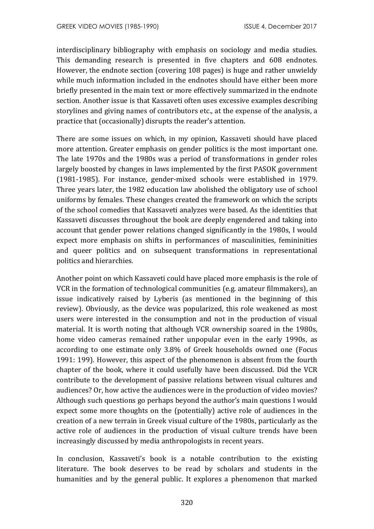interdisciplinary bibliography with emphasis on sociology and media studies. This demanding research is presented in five chapters and 608 endnotes. However, the endnote section (covering 108 pages) is huge and rather unwieldy while much information included in the endnotes should have either been more briefly presented in the main text or more effectively summarized in the endnote section. Another issue is that Kassaveti often uses excessive examples describing storylines and giving names of contributors etc., at the expense of the analysis, a practice that (occasionally) disrupts the reader's attention.

There are some issues on which, in my opinion, Kassaveti should have placed more attention. Greater emphasis on gender politics is the most important one. The late 1970s and the 1980s was a period of transformations in gender roles largely boosted by changes in laws implemented by the first PASOK government (1981-1985). For instance, gender-mixed schools were established in 1979. Three years later, the 1982 education law abolished the obligatory use of school uniforms by females. These changes created the framework on which the scripts of the school comedies that Kassaveti analyzes were based. As the identities that Kassaveti discusses throughout the book are deeply engendered and taking into account that gender power relations changed significantly in the 1980s, I would expect more emphasis on shifts in performances of masculinities, femininities and queer politics and on subsequent transformations in representational politics and hierarchies.

Another point on which Kassaveti could have placed more emphasis is the role of VCR in the formation of technological communities (e.g. amateur filmmakers), an issue indicatively raised by Lyberis (as mentioned in the beginning of this review). Obviously, as the device was popularized, this role weakened as most users were interested in the consumption and not in the production of visual material. It is worth noting that although VCR ownership soared in the 1980s, home video cameras remained rather unpopular even in the early 1990s, as according to one estimate only 3.8% of Greek households owned one (Focus 1991: 199). However, this aspect of the phenomenon is absent from the fourth chapter of the book, where it could usefully have been discussed. Did the VCR contribute to the development of passive relations between visual cultures and audiences? Or, how active the audiences were in the production of video movies? Although such questions go perhaps beyond the author's main questions I would expect some more thoughts on the (potentially) active role of audiences in the creation of a new terrain in Greek visual culture of the 1980s, particularly as the active role of audiences in the production of visual culture trends have been increasingly discussed by media anthropologists in recent years.

In conclusion, Kassaveti's book is a notable contribution to the existing literature. The book deserves to be read by scholars and students in the humanities and by the general public. It explores a phenomenon that marked